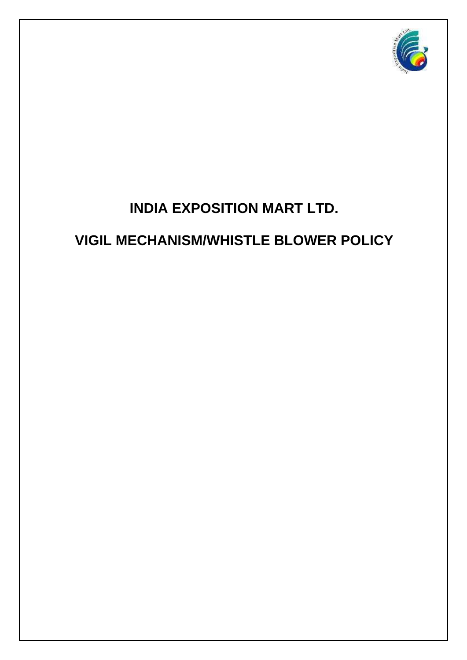

# **INDIA EXPOSITION MART LTD.**

# **VIGIL MECHANISM/WHISTLE BLOWER POLICY**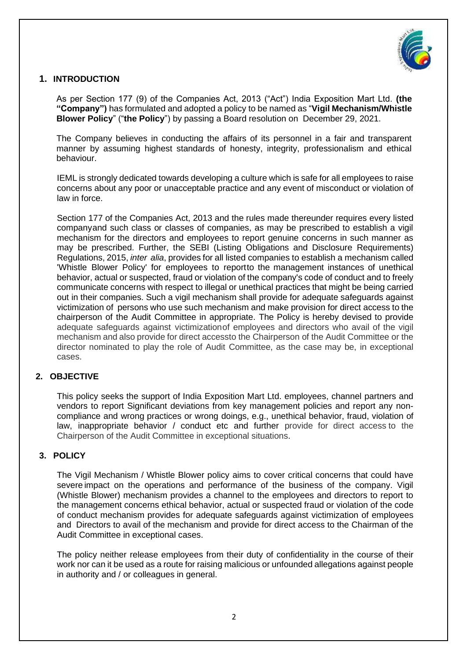

## **1. INTRODUCTION**

As per Section 177 (9) of the Companies Act, 2013 ("Act") India Exposition Mart Ltd. **(the "Company")** has formulated and adopted a policy to be named as "**Vigil Mechanism/Whistle Blower Policy**" ("**the Policy**") by passing a Board resolution on December 29, 2021.

The Company believes in conducting the affairs of its personnel in a fair and transparent manner by assuming highest standards of honesty, integrity, professionalism and ethical behaviour.

IEML is strongly dedicated towards developing a culture which is safe for all employees to raise concerns about any poor or unacceptable practice and any event of misconduct or violation of law in force.

Section 177 of the Companies Act, 2013 and the rules made thereunder requires every listed companyand such class or classes of companies, as may be prescribed to establish a vigil mechanism for the directors and employees to report genuine concerns in such manner as may be prescribed. Further, the SEBI (Listing Obligations and Disclosure Requirements) Regulations, 2015, *inter alia*, provides for all listed companies to establish a mechanism called 'Whistle Blower Policy' for employees to reportto the management instances of unethical behavior, actual or suspected, fraud or violation of the company's code of conduct and to freely communicate concerns with respect to illegal or unethical practices that might be being carried out in their companies. Such a vigil mechanism shall provide for adequate safeguards against victimization of persons who use such mechanism and make provision for direct access to the chairperson of the Audit Committee in appropriate. The Policy is hereby devised to provide adequate safeguards against victimizationof employees and directors who avail of the vigil mechanism and also provide for direct accessto the Chairperson of the Audit Committee or the director nominated to play the role of Audit Committee, as the case may be, in exceptional cases.

## **2. OBJECTIVE**

This policy seeks the support of India Exposition Mart Ltd. employees, channel partners and vendors to report Significant deviations from key management policies and report any noncompliance and wrong practices or wrong doings, e.g., unethical behavior, fraud, violation of law, inappropriate behavior / conduct etc and further provide for direct access to the Chairperson of the Audit Committee in exceptional situations.

## **3. POLICY**

The Vigil Mechanism / Whistle Blower policy aims to cover critical concerns that could have severe impact on the operations and performance of the business of the company. Vigil (Whistle Blower) mechanism provides a channel to the employees and directors to report to the management concerns ethical behavior, actual or suspected fraud or violation of the code of conduct mechanism provides for adequate safeguards against victimization of employees and Directors to avail of the mechanism and provide for direct access to the Chairman of the Audit Committee in exceptional cases.

The policy neither release employees from their duty of confidentiality in the course of their work nor can it be used as a route for raising malicious or unfounded allegations against people in authority and / or colleagues in general.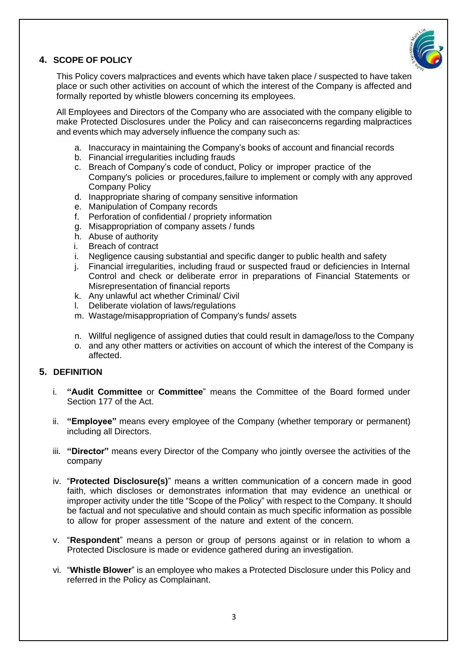

## **4. SCOPE OF POLICY**

This Policy covers malpractices and events which have taken place / suspected to have taken place or such other activities on account of which the interest of the Company is affected and formally reported by whistle blowers concerning its employees.

All Employees and Directors of the Company who are associated with the company eligible to make Protected Disclosures under the Policy and can raiseconcerns regarding malpractices and events which may adversely influence the company such as:

- a. Inaccuracy in maintaining the Company's books of account and financial records
- b. Financial irregularities including frauds
- c. Breach of Company's code of conduct, Policy or improper practice of the Company's policies or procedures,failure to implement or comply with any approved Company Policy
- d. Inappropriate sharing of company sensitive information
- e. Manipulation of Company records
- f. Perforation of confidential / propriety information
- g. Misappropriation of company assets / funds
- h. Abuse of authority
- i. Breach of contract
- i. Negligence causing substantial and specific danger to public health and safety
- j. Financial irregularities, including fraud or suspected fraud or deficiencies in Internal Control and check or deliberate error in preparations of Financial Statements or Misrepresentation of financial reports
- k. Any unlawful act whether Criminal/ Civil
- l. Deliberate violation of laws/regulations
- m. Wastage/misappropriation of Company's funds/ assets
- n. Willful negligence of assigned duties that could result in damage/loss to the Company
- o. and any other matters or activities on account of which the interest of the Company is affected.

## **5. DEFINITION**

- i. **"Audit Committee** or **Committee**" means the Committee of the Board formed under Section 177 of the Act.
- ii. **"Employee"** means every employee of the Company (whether temporary or permanent) including all Directors.
- iii. **"Director"** means every Director of the Company who jointly oversee the activities of the company
- iv. "**Protected Disclosure(s)**" means a written communication of a concern made in good faith, which discloses or demonstrates information that may evidence an unethical or improper activity under the title "Scope of the Policy" with respect to the Company. It should be factual and not speculative and should contain as much specific information as possible to allow for proper assessment of the nature and extent of the concern.
- v. "**Respondent**" means a person or group of persons against or in relation to whom a Protected Disclosure is made or evidence gathered during an investigation.
- vi. "**Whistle Blower**" is an employee who makes a Protected Disclosure under this Policy and referred in the Policy as Complainant.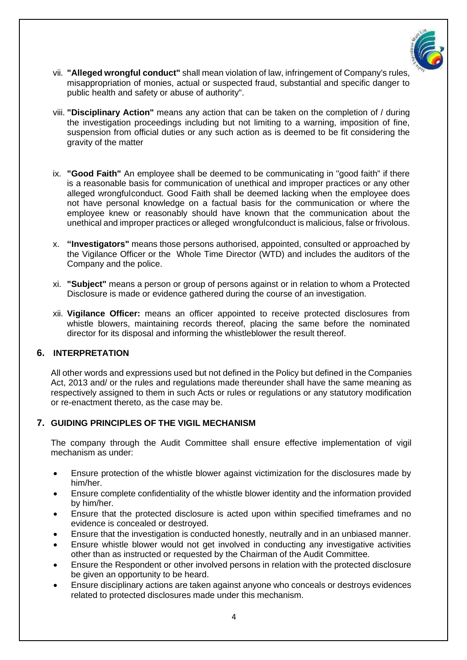

- vii. **"Alleged wrongful conduct"** shall mean violation of law, infringement of Company's rules, misappropriation of monies, actual or suspected fraud, substantial and specific danger to public health and safety or abuse of authority".
- viii. **"Disciplinary Action"** means any action that can be taken on the completion of / during the investigation proceedings including but not limiting to a warning, imposition of fine, suspension from official duties or any such action as is deemed to be fit considering the gravity of the matter
- ix. **"Good Faith"** An employee shall be deemed to be communicating in "good faith" if there is a reasonable basis for communication of unethical and improper practices or any other alleged wrongfulconduct. Good Faith shall be deemed lacking when the employee does not have personal knowledge on a factual basis for the communication or where the employee knew or reasonably should have known that the communication about the unethical and improper practices or alleged wrongfulconduct is malicious, false or frivolous.
- x. **"Investigators"** means those persons authorised, appointed, consulted or approached by the Vigilance Officer or the Whole Time Director (WTD) and includes the auditors of the Company and the police.
- xi. **"Subject"** means a person or group of persons against or in relation to whom a Protected Disclosure is made or evidence gathered during the course of an investigation.
- xii. **Vigilance Officer:** means an officer appointed to receive protected disclosures from whistle blowers, maintaining records thereof, placing the same before the nominated director for its disposal and informing the whistleblower the result thereof.

## **6. INTERPRETATION**

All other words and expressions used but not defined in the Policy but defined in the Companies Act, 2013 and/ or the rules and regulations made thereunder shall have the same meaning as respectively assigned to them in such Acts or rules or regulations or any statutory modification or re-enactment thereto, as the case may be.

#### **7. GUIDING PRINCIPLES OF THE VIGIL MECHANISM**

The company through the Audit Committee shall ensure effective implementation of vigil mechanism as under:

- Ensure protection of the whistle blower against victimization for the disclosures made by him/her.
- Ensure complete confidentiality of the whistle blower identity and the information provided by him/her.
- Ensure that the protected disclosure is acted upon within specified timeframes and no evidence is concealed or destroyed.
- Ensure that the investigation is conducted honestly, neutrally and in an unbiased manner.
- Ensure whistle blower would not get involved in conducting any investigative activities other than as instructed or requested by the Chairman of the Audit Committee.
- Ensure the Respondent or other involved persons in relation with the protected disclosure be given an opportunity to be heard.
- Ensure disciplinary actions are taken against anyone who conceals or destroys evidences related to protected disclosures made under this mechanism.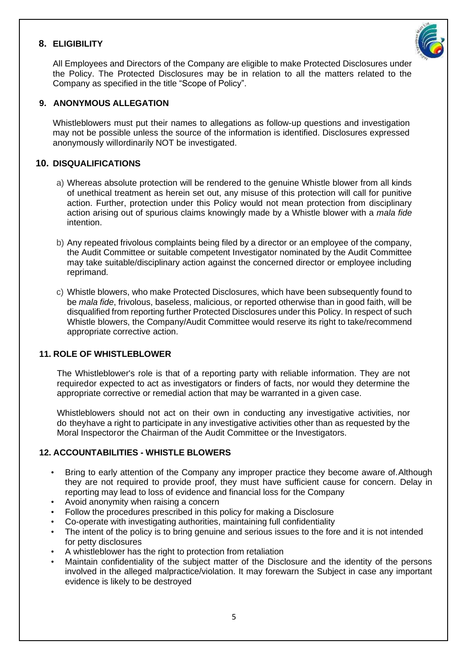## **8. ELIGIBILITY**



All Employees and Directors of the Company are eligible to make Protected Disclosures under the Policy. The Protected Disclosures may be in relation to all the matters related to the Company as specified in the title "Scope of Policy".

## **9. ANONYMOUS ALLEGATION**

Whistleblowers must put their names to allegations as follow-up questions and investigation may not be possible unless the source of the information is identified. Disclosures expressed anonymously willordinarily NOT be investigated.

## **10. DISQUALIFICATIONS**

- a) Whereas absolute protection will be rendered to the genuine Whistle blower from all kinds of unethical treatment as herein set out, any misuse of this protection will call for punitive action. Further, protection under this Policy would not mean protection from disciplinary action arising out of spurious claims knowingly made by a Whistle blower with a *mala fide* intention.
- b) Any repeated frivolous complaints being filed by a director or an employee of the company, the Audit Committee or suitable competent Investigator nominated by the Audit Committee may take suitable/disciplinary action against the concerned director or employee including reprimand.
- c) Whistle blowers, who make Protected Disclosures, which have been subsequently found to be *mala fide*, frivolous, baseless, malicious, or reported otherwise than in good faith, will be disqualified from reporting further Protected Disclosures under this Policy. In respect of such Whistle blowers, the Company/Audit Committee would reserve its right to take/recommend appropriate corrective action.

## **11. ROLE OF WHISTLEBLOWER**

The Whistleblower's role is that of a reporting party with reliable information. They are not requiredor expected to act as investigators or finders of facts, nor would they determine the appropriate corrective or remedial action that may be warranted in a given case.

Whistleblowers should not act on their own in conducting any investigative activities, nor do theyhave a right to participate in any investigative activities other than as requested by the Moral Inspectoror the Chairman of the Audit Committee or the Investigators.

## **12. ACCOUNTABILITIES - WHISTLE BLOWERS**

- Bring to early attention of the Company any improper practice they become aware of.Although they are not required to provide proof, they must have sufficient cause for concern. Delay in reporting may lead to loss of evidence and financial loss for the Company
- Avoid anonymity when raising a concern
- Follow the procedures prescribed in this policy for making a Disclosure
- Co-operate with investigating authorities, maintaining full confidentiality
- The intent of the policy is to bring genuine and serious issues to the fore and it is not intended for petty disclosures
- A whistleblower has the right to protection from retaliation
- Maintain confidentiality of the subject matter of the Disclosure and the identity of the persons involved in the alleged malpractice/violation. It may forewarn the Subject in case any important evidence is likely to be destroyed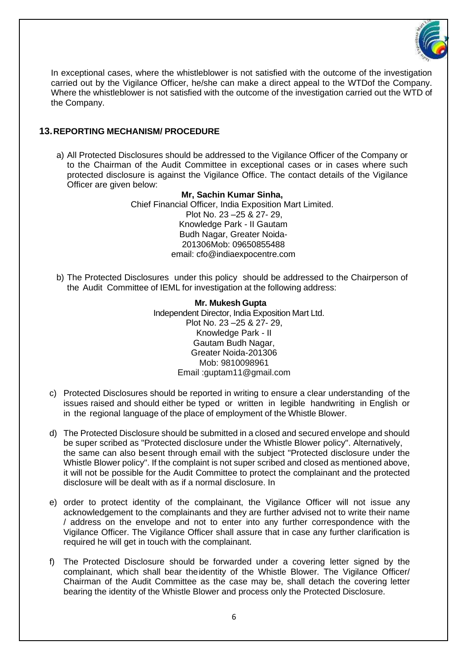

In exceptional cases, where the whistleblower is not satisfied with the outcome of the investigation carried out by the Vigilance Officer, he/she can make a direct appeal to the WTDof the Company. Where the whistleblower is not satisfied with the outcome of the investigation carried out the WTD of the Company.

## **13.REPORTING MECHANISM/ PROCEDURE**

a) All Protected Disclosures should be addressed to the Vigilance Officer of the Company or to the Chairman of the Audit Committee in exceptional cases or in cases where such protected disclosure is against the Vigilance Office. The contact details of the Vigilance Officer are given below:

#### **Mr, Sachin Kumar Sinha,**

Chief Financial Officer, India Exposition Mart Limited. Plot No. 23 –25 & 27- 29, Knowledge Park - II Gautam Budh Nagar, Greater Noida-201306Mob: 09650855488 email: cfo@indiaexpocentre.com

b) The Protected Disclosures under this policy should be addressed to the Chairperson of the Audit Committee of IEML for investigation at the following address:

> **Mr. Mukesh Gupta** Independent Director, India Exposition Mart Ltd. Plot No. 23 –25 & 27- 29, Knowledge Park - II Gautam Budh Nagar, Greater Noida-201306 Mob: 9810098961 Email [:guptam11@gmail.com](mailto:guptam11@gmail.com)

- c) Protected Disclosures should be reported in writing to ensure a clear understanding of the issues raised and should either be typed or written in legible handwriting in English or in the regional language of the place of employment of the Whistle Blower.
- d) The Protected Disclosure should be submitted in a closed and secured envelope and should be super scribed as "Protected disclosure under the Whistle Blower policy". Alternatively, the same can also besent through email with the subject "Protected disclosure under the Whistle Blower policy". If the complaint is not super scribed and closed as mentioned above, it will not be possible for the Audit Committee to protect the complainant and the protected disclosure will be dealt with as if a normal disclosure. In
- e) order to protect identity of the complainant, the Vigilance Officer will not issue any acknowledgement to the complainants and they are further advised not to write their name / address on the envelope and not to enter into any further correspondence with the Vigilance Officer. The Vigilance Officer shall assure that in case any further clarification is required he will get in touch with the complainant.
- f) The Protected Disclosure should be forwarded under a covering letter signed by the complainant, which shall bear theidentity of the Whistle Blower. The Vigilance Officer/ Chairman of the Audit Committee as the case may be, shall detach the covering letter bearing the identity of the Whistle Blower and process only the Protected Disclosure.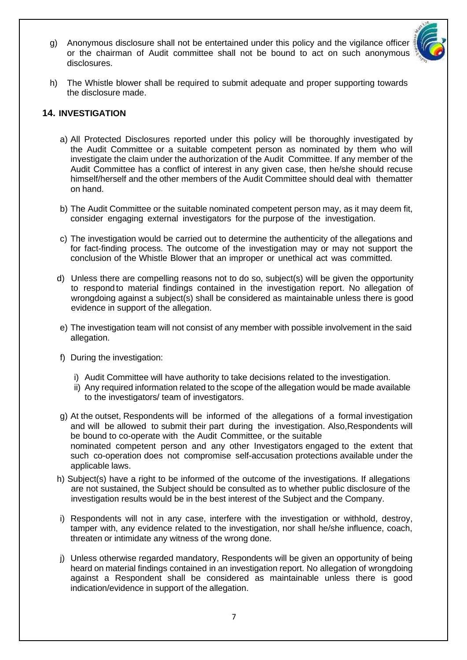g) Anonymous disclosure shall not be entertained under this policy and the vigilance officer or the chairman of Audit committee shall not be bound to act on such anonymous disclosures.



h) The Whistle blower shall be required to submit adequate and proper supporting towards the disclosure made.

## **14. INVESTIGATION**

- a) All Protected Disclosures reported under this policy will be thoroughly investigated by the Audit Committee or a suitable competent person as nominated by them who will investigate the claim under the authorization of the Audit Committee. If any member of the Audit Committee has a conflict of interest in any given case, then he/she should recuse himself/herself and the other members of the Audit Committee should deal with thematter on hand.
- b) The Audit Committee or the suitable nominated competent person may, as it may deem fit, consider engaging external investigators for the purpose of the investigation.
- c) The investigation would be carried out to determine the authenticity of the allegations and for fact-finding process. The outcome of the investigation may or may not support the conclusion of the Whistle Blower that an improper or unethical act was committed.
- d) Unless there are compelling reasons not to do so, subject(s) will be given the opportunity to respond to material findings contained in the investigation report. No allegation of wrongdoing against a subject(s) shall be considered as maintainable unless there is good evidence in support of the allegation.
- e) The investigation team will not consist of any member with possible involvement in the said allegation.
- f) During the investigation:
	- i) Audit Committee will have authority to take decisions related to the investigation.
	- ii) Any required information related to the scope of the allegation would be made available to the investigators/ team of investigators.
- g) At the outset, Respondents will be informed of the allegations of a formal investigation and will be allowed to submit their part during the investigation. Also,Respondents will be bound to co-operate with the Audit Committee, or the suitable nominated competent person and any other Investigators engaged to the extent that such co-operation does not compromise self-accusation protections available under the applicable laws.
- h) Subject(s) have a right to be informed of the outcome of the investigations. If allegations are not sustained, the Subject should be consulted as to whether public disclosure of the investigation results would be in the best interest of the Subject and the Company.
- i) Respondents will not in any case, interfere with the investigation or withhold, destroy, tamper with, any evidence related to the investigation, nor shall he/she influence, coach, threaten or intimidate any witness of the wrong done.
- j) Unless otherwise regarded mandatory, Respondents will be given an opportunity of being heard on material findings contained in an investigation report. No allegation of wrongdoing against a Respondent shall be considered as maintainable unless there is good indication/evidence in support of the allegation.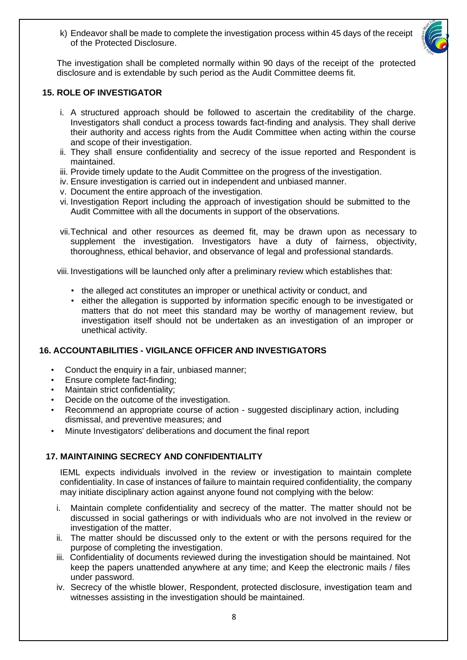

k) Endeavor shall be made to complete the investigation process within 45 days of the receipt of the Protected Disclosure.

The investigation shall be completed normally within 90 days of the receipt of the protected disclosure and is extendable by such period as the Audit Committee deems fit.

## **15. ROLE OF INVESTIGATOR**

- i. A structured approach should be followed to ascertain the creditability of the charge. Investigators shall conduct a process towards fact-finding and analysis. They shall derive their authority and access rights from the Audit Committee when acting within the course and scope of their investigation.
- ii. They shall ensure confidentiality and secrecy of the issue reported and Respondent is maintained.
- iii. Provide timely update to the Audit Committee on the progress of the investigation.
- iv. Ensure investigation is carried out in independent and unbiased manner.
- v. Document the entire approach of the investigation.
- vi. Investigation Report including the approach of investigation should be submitted to the Audit Committee with all the documents in support of the observations.
- vii.Technical and other resources as deemed fit, may be drawn upon as necessary to supplement the investigation. Investigators have a duty of fairness, objectivity, thoroughness, ethical behavior, and observance of legal and professional standards.

viii. Investigations will be launched only after a preliminary review which establishes that:

- the alleged act constitutes an improper or unethical activity or conduct, and
- either the allegation is supported by information specific enough to be investigated or matters that do not meet this standard may be worthy of management review, but investigation itself should not be undertaken as an investigation of an improper or unethical activity.

## **16. ACCOUNTABILITIES - VIGILANCE OFFICER AND INVESTIGATORS**

- Conduct the enquiry in a fair, unbiased manner;
- Ensure complete fact-finding;
- Maintain strict confidentiality;
- Decide on the outcome of the investigation.
- Recommend an appropriate course of action suggested disciplinary action, including dismissal, and preventive measures; and
- Minute Investigators' deliberations and document the final report

## **17. MAINTAINING SECRECY AND CONFIDENTIALITY**

IEML expects individuals involved in the review or investigation to maintain complete confidentiality. In case of instances of failure to maintain required confidentiality, the company may initiate disciplinary action against anyone found not complying with the below:

- i. Maintain complete confidentiality and secrecy of the matter. The matter should not be discussed in social gatherings or with individuals who are not involved in the review or investigation of the matter.
- ii. The matter should be discussed only to the extent or with the persons required for the purpose of completing the investigation.
- iii. Confidentiality of documents reviewed during the investigation should be maintained. Not keep the papers unattended anywhere at any time; and Keep the electronic mails / files under password.
- iv. Secrecy of the whistle blower, Respondent, protected disclosure, investigation team and witnesses assisting in the investigation should be maintained.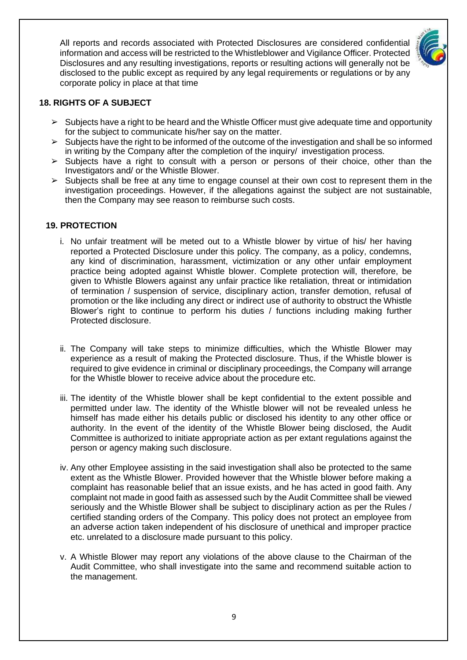All reports and records associated with Protected Disclosures are considered confidential information and access will be restricted to the Whistleblower and Vigilance Officer. Protected Disclosures and any resulting investigations, reports or resulting actions will generally not be disclosed to the public except as required by any legal requirements or regulations or by any corporate policy in place at that time



#### **18. RIGHTS OF A SUBJECT**

- $\triangleright$  Subjects have a right to be heard and the Whistle Officer must give adequate time and opportunity for the subject to communicate his/her say on the matter.
- $\geq$  Subjects have the right to be informed of the outcome of the investigation and shall be so informed in writing by the Company after the completion of the inquiry/ investigation process.
- ➢ Subjects have a right to consult with a person or persons of their choice, other than the Investigators and/ or the Whistle Blower.
- $\triangleright$  Subjects shall be free at any time to engage counsel at their own cost to represent them in the investigation proceedings. However, if the allegations against the subject are not sustainable, then the Company may see reason to reimburse such costs.

#### **19. PROTECTION**

- i. No unfair treatment will be meted out to a Whistle blower by virtue of his/ her having reported a Protected Disclosure under this policy. The company, as a policy, condemns, any kind of discrimination, harassment, victimization or any other unfair employment practice being adopted against Whistle blower. Complete protection will, therefore, be given to Whistle Blowers against any unfair practice like retaliation, threat or intimidation of termination / suspension of service, disciplinary action, transfer demotion, refusal of promotion or the like including any direct or indirect use of authority to obstruct the Whistle Blower's right to continue to perform his duties / functions including making further Protected disclosure.
- ii. The Company will take steps to minimize difficulties, which the Whistle Blower may experience as a result of making the Protected disclosure. Thus, if the Whistle blower is required to give evidence in criminal or disciplinary proceedings, the Company will arrange for the Whistle blower to receive advice about the procedure etc.
- iii. The identity of the Whistle blower shall be kept confidential to the extent possible and permitted under law. The identity of the Whistle blower will not be revealed unless he himself has made either his details public or disclosed his identity to any other office or authority. In the event of the identity of the Whistle Blower being disclosed, the Audit Committee is authorized to initiate appropriate action as per extant regulations against the person or agency making such disclosure.
- iv. Any other Employee assisting in the said investigation shall also be protected to the same extent as the Whistle Blower. Provided however that the Whistle blower before making a complaint has reasonable belief that an issue exists, and he has acted in good faith. Any complaint not made in good faith as assessed such by the Audit Committee shall be viewed seriously and the Whistle Blower shall be subject to disciplinary action as per the Rules / certified standing orders of the Company. This policy does not protect an employee from an adverse action taken independent of his disclosure of unethical and improper practice etc. unrelated to a disclosure made pursuant to this policy.
- v. A Whistle Blower may report any violations of the above clause to the Chairman of the Audit Committee, who shall investigate into the same and recommend suitable action to the management.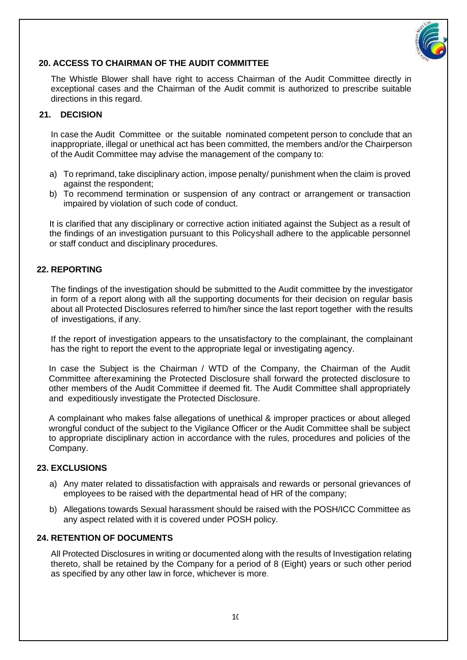

#### **20. ACCESS TO CHAIRMAN OF THE AUDIT COMMITTEE**

The Whistle Blower shall have right to access Chairman of the Audit Committee directly in exceptional cases and the Chairman of the Audit commit is authorized to prescribe suitable directions in this regard.

## **21. DECISION**

In case the Audit Committee or the suitable nominated competent person to conclude that an inappropriate, illegal or unethical act has been committed, the members and/or the Chairperson of the Audit Committee may advise the management of the company to:

- a) To reprimand, take disciplinary action, impose penalty/ punishment when the claim is proved against the respondent;
- b) To recommend termination or suspension of any contract or arrangement or transaction impaired by violation of such code of conduct.

It is clarified that any disciplinary or corrective action initiated against the Subject as a result of the findings of an investigation pursuant to this Policyshall adhere to the applicable personnel or staff conduct and disciplinary procedures.

#### **22. REPORTING**

The findings of the investigation should be submitted to the Audit committee by the investigator in form of a report along with all the supporting documents for their decision on regular basis about all Protected Disclosures referred to him/her since the last report together with the results of investigations, if any.

If the report of investigation appears to the unsatisfactory to the complainant, the complainant has the right to report the event to the appropriate legal or investigating agency.

In case the Subject is the Chairman / WTD of the Company, the Chairman of the Audit Committee afterexamining the Protected Disclosure shall forward the protected disclosure to other members of the Audit Committee if deemed fit. The Audit Committee shall appropriately and expeditiously investigate the Protected Disclosure.

A complainant who makes false allegations of unethical & improper practices or about alleged wrongful conduct of the subject to the Vigilance Officer or the Audit Committee shall be subject to appropriate disciplinary action in accordance with the rules, procedures and policies of the Company.

#### **23. EXCLUSIONS**

- a) Any mater related to dissatisfaction with appraisals and rewards or personal grievances of employees to be raised with the departmental head of HR of the company;
- b) Allegations towards Sexual harassment should be raised with the POSH/ICC Committee as any aspect related with it is covered under POSH policy.

#### **24. RETENTION OF DOCUMENTS**

All Protected Disclosures in writing or documented along with the results of Investigation relating thereto, shall be retained by the Company for a period of 8 (Eight) years or such other period as specified by any other law in force, whichever is more.